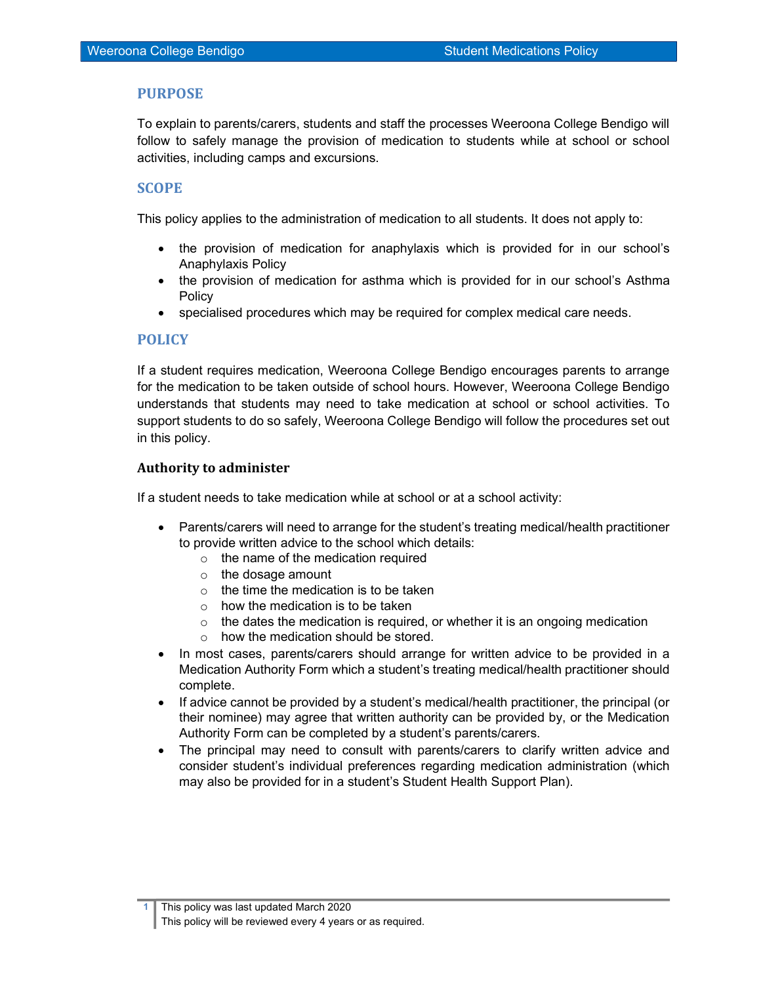## PURPOSE

To explain to parents/carers, students and staff the processes Weeroona College Bendigo will follow to safely manage the provision of medication to students while at school or school activities, including camps and excursions.

## **SCOPE**

This policy applies to the administration of medication to all students. It does not apply to:

- the provision of medication for anaphylaxis which is provided for in our school's Anaphylaxis Policy
- the provision of medication for asthma which is provided for in our school's Asthma Policy
- specialised procedures which may be required for complex medical care needs.

#### POLICY

If a student requires medication, Weeroona College Bendigo encourages parents to arrange for the medication to be taken outside of school hours. However, Weeroona College Bendigo understands that students may need to take medication at school or school activities. To support students to do so safely, Weeroona College Bendigo will follow the procedures set out in this policy.

#### Authority to administer

If a student needs to take medication while at school or at a school activity:

- Parents/carers will need to arrange for the student's treating medical/health practitioner to provide written advice to the school which details:
	- $\circ$  the name of the medication required
	- o the dosage amount
	- $\circ$  the time the medication is to be taken
	- $\circ$  how the medication is to be taken
	- $\circ$  the dates the medication is required, or whether it is an ongoing medication
	- o how the medication should be stored.
- In most cases, parents/carers should arrange for written advice to be provided in a Medication Authority Form which a student's treating medical/health practitioner should complete.
- If advice cannot be provided by a student's medical/health practitioner, the principal (or their nominee) may agree that written authority can be provided by, or the Medication Authority Form can be completed by a student's parents/carers.
- The principal may need to consult with parents/carers to clarify written advice and consider student's individual preferences regarding medication administration (which may also be provided for in a student's Student Health Support Plan).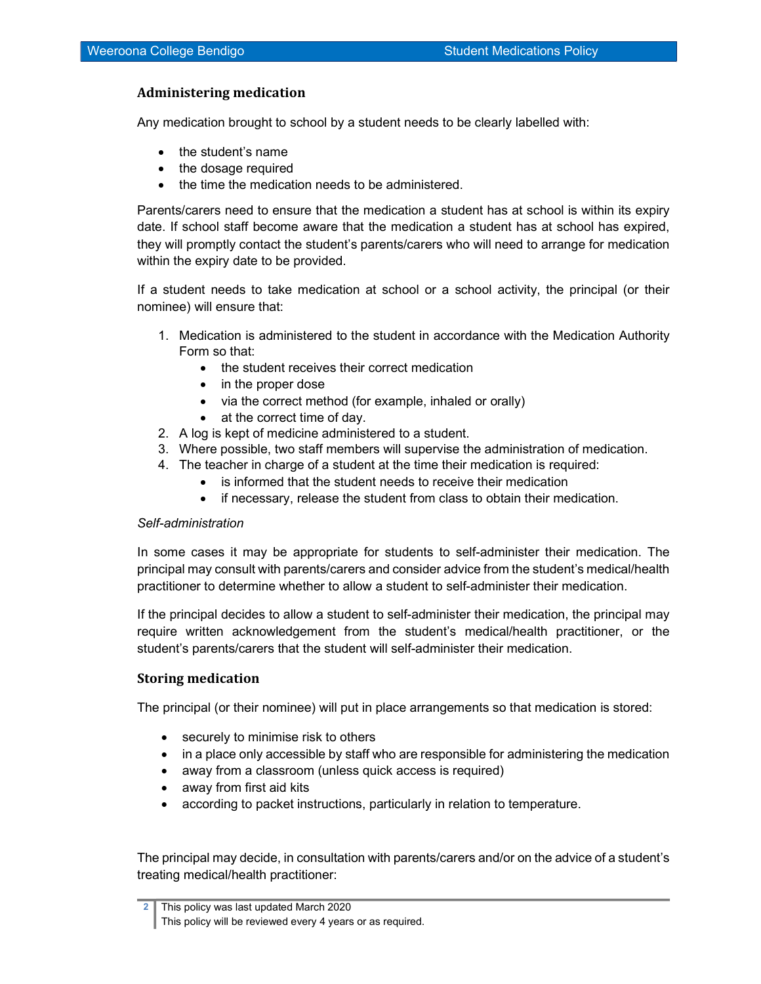## Administering medication

Any medication brought to school by a student needs to be clearly labelled with:

- the student's name
- the dosage required
- the time the medication needs to be administered.

Parents/carers need to ensure that the medication a student has at school is within its expiry date. If school staff become aware that the medication a student has at school has expired, they will promptly contact the student's parents/carers who will need to arrange for medication within the expiry date to be provided.

If a student needs to take medication at school or a school activity, the principal (or their nominee) will ensure that:

- 1. Medication is administered to the student in accordance with the Medication Authority Form so that:
	- the student receives their correct medication
	- in the proper dose
	- via the correct method (for example, inhaled or orally)
	- at the correct time of day.
- 2. A log is kept of medicine administered to a student.
- 3. Where possible, two staff members will supervise the administration of medication.
- 4. The teacher in charge of a student at the time their medication is required:
	- is informed that the student needs to receive their medication
	- if necessary, release the student from class to obtain their medication.

#### Self-administration

In some cases it may be appropriate for students to self-administer their medication. The principal may consult with parents/carers and consider advice from the student's medical/health practitioner to determine whether to allow a student to self-administer their medication.

If the principal decides to allow a student to self-administer their medication, the principal may require written acknowledgement from the student's medical/health practitioner, or the student's parents/carers that the student will self-administer their medication.

#### Storing medication

The principal (or their nominee) will put in place arrangements so that medication is stored:

- securely to minimise risk to others
- in a place only accessible by staff who are responsible for administering the medication
- away from a classroom (unless quick access is required)
- away from first aid kits
- according to packet instructions, particularly in relation to temperature.

The principal may decide, in consultation with parents/carers and/or on the advice of a student's treating medical/health practitioner:

<sup>2</sup> This policy was last updated March 2020 This policy will be reviewed every 4 years or as required.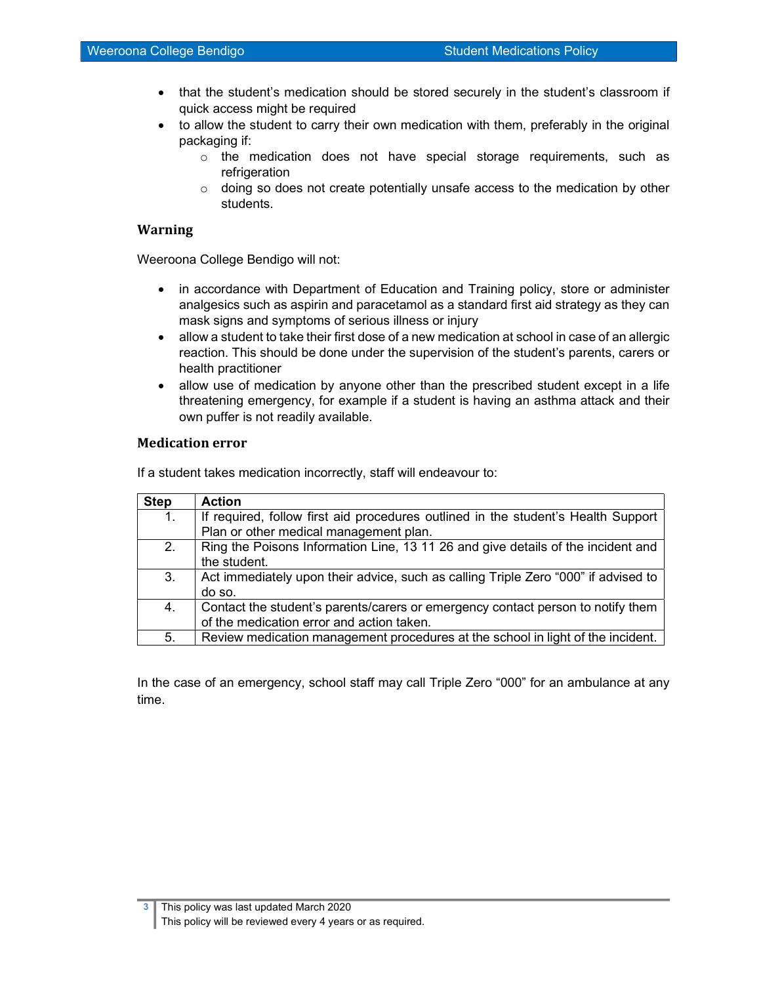- that the student's medication should be stored securely in the student's classroom if quick access might be required
- to allow the student to carry their own medication with them, preferably in the original packaging if:
	- $\circ$  the medication does not have special storage requirements, such as refrigeration
	- $\circ$  doing so does not create potentially unsafe access to the medication by other students.

#### Warning

Weeroona College Bendigo will not:

- in accordance with Department of Education and Training policy, store or administer analgesics such as aspirin and paracetamol as a standard first aid strategy as they can mask signs and symptoms of serious illness or injury
- allow a student to take their first dose of a new medication at school in case of an allergic reaction. This should be done under the supervision of the student's parents, carers or health practitioner
- allow use of medication by anyone other than the prescribed student except in a life threatening emergency, for example if a student is having an asthma attack and their own puffer is not readily available.

#### Medication error

If a student takes medication incorrectly, staff will endeavour to:

| <b>Step</b> | <b>Action</b>                                                                      |  |  |
|-------------|------------------------------------------------------------------------------------|--|--|
| 1.          | If required, follow first aid procedures outlined in the student's Health Support  |  |  |
|             | Plan or other medical management plan.                                             |  |  |
| 2.          | Ring the Poisons Information Line, 13 11 26 and give details of the incident and   |  |  |
|             | the student.                                                                       |  |  |
| 3.          | Act immediately upon their advice, such as calling Triple Zero "000" if advised to |  |  |
|             | do so.                                                                             |  |  |
| 4.          | Contact the student's parents/carers or emergency contact person to notify them    |  |  |
|             | of the medication error and action taken.                                          |  |  |
| 5.          | Review medication management procedures at the school in light of the incident.    |  |  |

In the case of an emergency, school staff may call Triple Zero "000" for an ambulance at any time.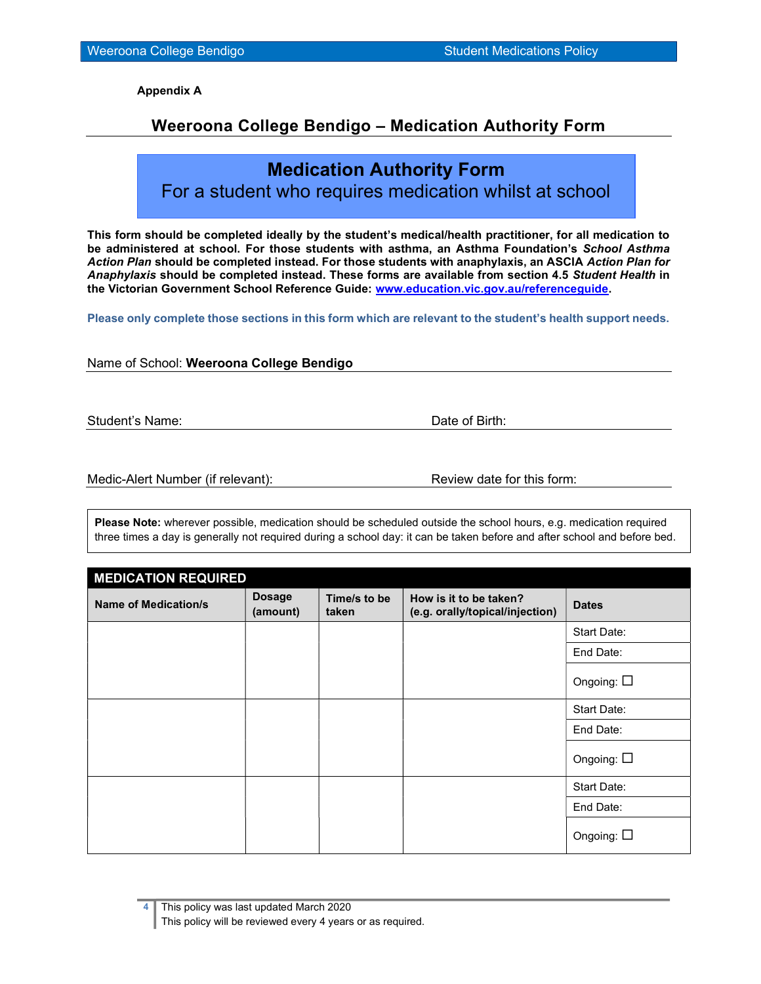Appendix A

## Weeroona College Bendigo – Medication Authority Form

# Medication Authority Form

For a student who requires medication whilst at school

This form should be completed ideally by the student's medical/health practitioner, for all medication to be administered at school. For those students with asthma, an Asthma Foundation's School Asthma Action Plan should be completed instead. For those students with anaphylaxis, an ASCIA Action Plan for Anaphylaxis should be completed instead. These forms are available from section 4.5 Student Health in the Victorian Government School Reference Guide: www.education.vic.gov.au/referenceguide.

Please only complete those sections in this form which are relevant to the student's health support needs.

Name of School: Weeroona College Bendigo

Student's Name: **Date of Birth:** Date of Birth:

Medic-Alert Number (if relevant): Review date for this form:

Please Note: wherever possible, medication should be scheduled outside the school hours, e.g. medication required three times a day is generally not required during a school day: it can be taken before and after school and before bed.

| <b>MEDICATION REQUIRED</b>  |                           |                       |                                                           |                    |  |  |
|-----------------------------|---------------------------|-----------------------|-----------------------------------------------------------|--------------------|--|--|
| <b>Name of Medication/s</b> | <b>Dosage</b><br>(amount) | Time/s to be<br>taken | How is it to be taken?<br>(e.g. orally/topical/injection) | <b>Dates</b>       |  |  |
|                             |                           |                       |                                                           | Start Date:        |  |  |
|                             |                           |                       |                                                           | End Date:          |  |  |
|                             |                           |                       |                                                           | Ongoing: $\square$ |  |  |
|                             |                           |                       |                                                           | Start Date:        |  |  |
|                             |                           |                       |                                                           | End Date:          |  |  |
|                             |                           |                       |                                                           | Ongoing: $\square$ |  |  |
|                             |                           |                       |                                                           | Start Date:        |  |  |
|                             |                           |                       |                                                           | End Date:          |  |  |
|                             |                           |                       |                                                           | Ongoing: $\square$ |  |  |

This policy was last updated March 2020 This policy will be reviewed every 4 years or as required.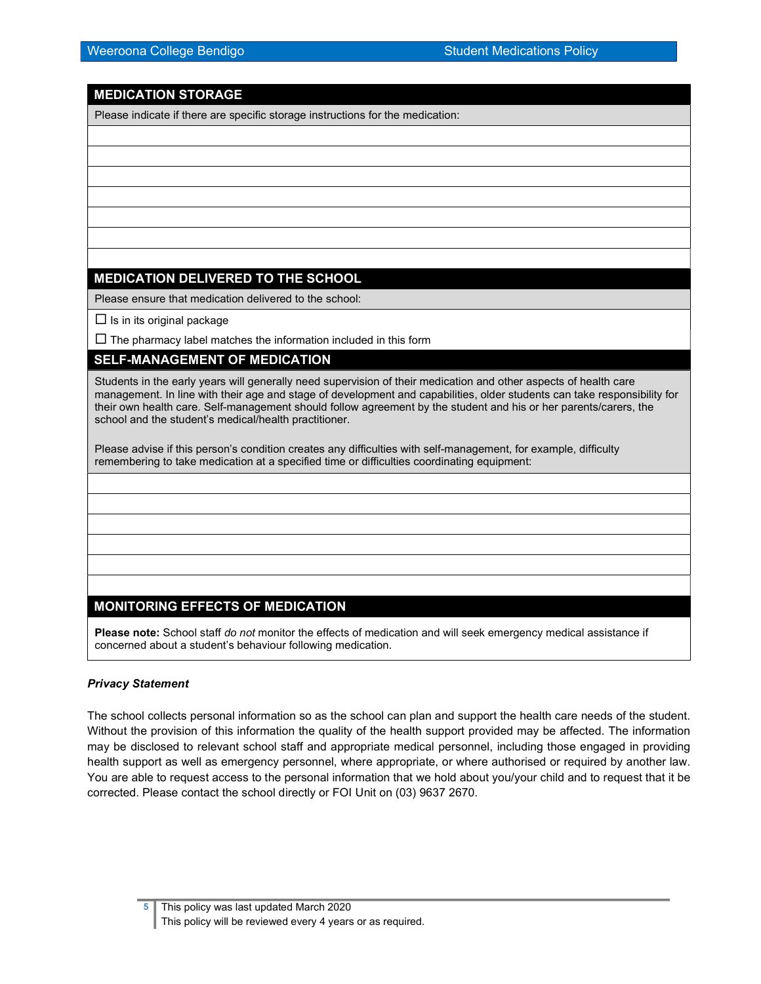## MEDICATION STORAGE

Please indicate if there are specific storage instructions for the medication:

## MEDICATION DELIVERED TO THE SCHOOL

Please ensure that medication delivered to the school:

 $\square$  Is in its original package

 $\Box$  The pharmacy label matches the information included in this form

## SELF-MANAGEMENT OF MEDICATION

Students in the early years will generally need supervision of their medication and other aspects of health care management. In line with their age and stage of development and capabilities, older students can take responsibility for their own health care. Self-management should follow agreement by the student and his or her parents/carers, the school and the student's medical/health practitioner.

Please advise if this person's condition creates any difficulties with self-management, for example, difficulty remembering to take medication at a specified time or difficulties coordinating equipment:

## MONITORING EFFECTS OF MEDICATION

Please note: School staff do not monitor the effects of medication and will seek emergency medical assistance if concerned about a student's behaviour following medication.

#### Privacy Statement

The school collects personal information so as the school can plan and support the health care needs of the student. Without the provision of this information the quality of the health support provided may be affected. The information may be disclosed to relevant school staff and appropriate medical personnel, including those engaged in providing health support as well as emergency personnel, where appropriate, or where authorised or required by another law. You are able to request access to the personal information that we hold about you/your child and to request that it be corrected. Please contact the school directly or FOI Unit on (03) 9637 2670.